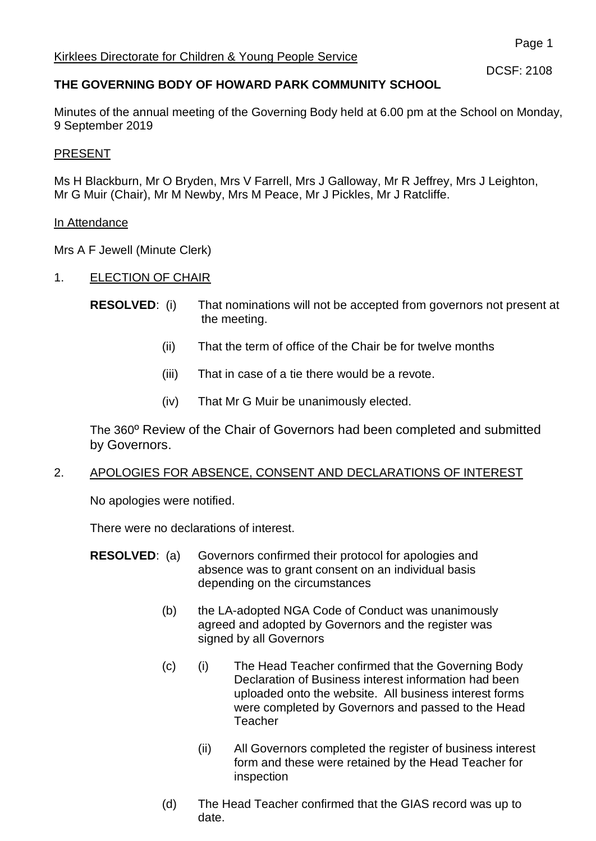DCSF: 2108

# **THE GOVERNING BODY OF HOWARD PARK COMMUNITY SCHOOL**

Minutes of the annual meeting of the Governing Body held at 6.00 pm at the School on Monday, 9 September 2019

## PRESENT

Ms H Blackburn, Mr O Bryden, Mrs V Farrell, Mrs J Galloway, Mr R Jeffrey, Mrs J Leighton, Mr G Muir (Chair), Mr M Newby, Mrs M Peace, Mr J Pickles, Mr J Ratcliffe.

## In Attendance

Mrs A F Jewell (Minute Clerk)

- 1. ELECTION OF CHAIR
	- **RESOLVED:** (i) That nominations will not be accepted from governors not present at the meeting.
		- (ii) That the term of office of the Chair be for twelve months
		- (iii) That in case of a tie there would be a revote.
		- (iv) That Mr G Muir be unanimously elected.

The 360º Review of the Chair of Governors had been completed and submitted by Governors.

# 2. APOLOGIES FOR ABSENCE, CONSENT AND DECLARATIONS OF INTEREST

No apologies were notified.

There were no declarations of interest.

- **RESOLVED:** (a) Governors confirmed their protocol for apologies and absence was to grant consent on an individual basis depending on the circumstances
	- (b) the LA-adopted NGA Code of Conduct was unanimously agreed and adopted by Governors and the register was signed by all Governors
	- (c) (i) The Head Teacher confirmed that the Governing Body Declaration of Business interest information had been uploaded onto the website. All business interest forms were completed by Governors and passed to the Head **Teacher** 
		- (ii) All Governors completed the register of business interest form and these were retained by the Head Teacher for inspection
	- (d) The Head Teacher confirmed that the GIAS record was up to date.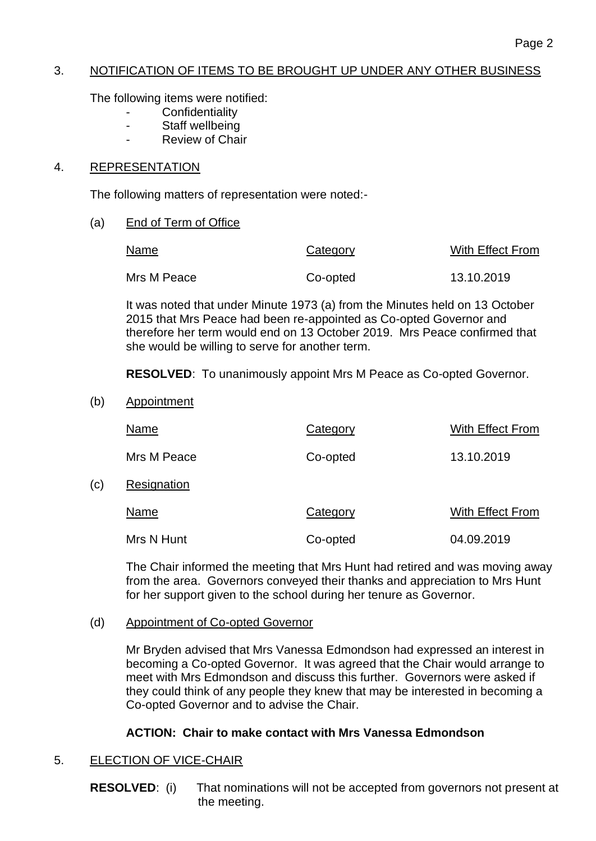## 3. NOTIFICATION OF ITEMS TO BE BROUGHT UP UNDER ANY OTHER BUSINESS

The following items were notified:

- **Confidentiality**
- Staff wellbeing
- Review of Chair

## 4. REPRESENTATION

The following matters of representation were noted:-

(a) End of Term of Office

| Name        | Category | With Effect From |
|-------------|----------|------------------|
| Mrs M Peace | Co-opted | 13.10.2019       |

It was noted that under Minute 1973 (a) from the Minutes held on 13 October 2015 that Mrs Peace had been re-appointed as Co-opted Governor and therefore her term would end on 13 October 2019. Mrs Peace confirmed that she would be willing to serve for another term.

**RESOLVED**: To unanimously appoint Mrs M Peace as Co-opted Governor.

(b) Appointment

 $(c)$ 

| Name        | Category | With Effect From |
|-------------|----------|------------------|
| Mrs M Peace | Co-opted | 13.10.2019       |
| Resignation |          |                  |
| Name        | Category | With Effect From |
| Mrs N Hunt  | Co-opted | 04.09.2019       |

The Chair informed the meeting that Mrs Hunt had retired and was moving away from the area. Governors conveyed their thanks and appreciation to Mrs Hunt for her support given to the school during her tenure as Governor.

## (d) Appointment of Co-opted Governor

Mr Bryden advised that Mrs Vanessa Edmondson had expressed an interest in becoming a Co-opted Governor. It was agreed that the Chair would arrange to meet with Mrs Edmondson and discuss this further. Governors were asked if they could think of any people they knew that may be interested in becoming a Co-opted Governor and to advise the Chair.

## **ACTION: Chair to make contact with Mrs Vanessa Edmondson**

# 5. **ELECTION OF VICE-CHAIR**

**RESOLVED:** (i) That nominations will not be accepted from governors not present at the meeting.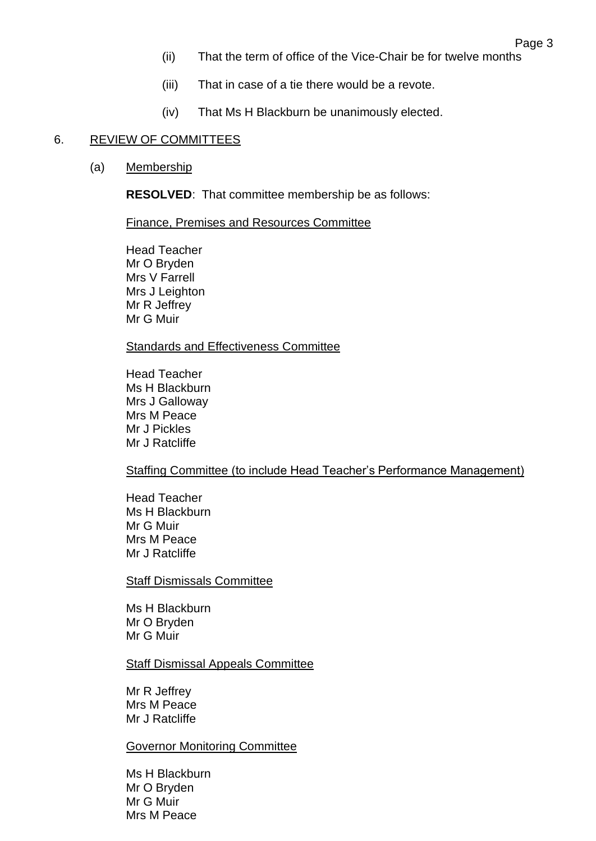- (ii) That the term of office of the Vice-Chair be for twelve months
- (iii) That in case of a tie there would be a revote.
- (iv) That Ms H Blackburn be unanimously elected.

#### 6. REVIEW OF COMMITTEES

(a) Membership

**RESOLVED**: That committee membership be as follows:

Finance, Premises and Resources Committee

Head Teacher Mr O Bryden Mrs V Farrell Mrs J Leighton Mr R Jeffrey Mr G Muir

Standards and Effectiveness Committee

Head Teacher Ms H Blackburn Mrs J Galloway Mrs M Peace Mr J Pickles Mr J Ratcliffe

Staffing Committee (to include Head Teacher's Performance Management)

Head Teacher Ms H Blackburn Mr G Muir Mrs M Peace Mr J Ratcliffe

Staff Dismissals Committee

Ms H Blackburn Mr O Bryden Mr G Muir

Staff Dismissal Appeals Committee

Mr R Jeffrey Mrs M Peace Mr J Ratcliffe

Governor Monitoring Committee

Ms H Blackburn Mr O Bryden Mr G Muir Mrs M Peace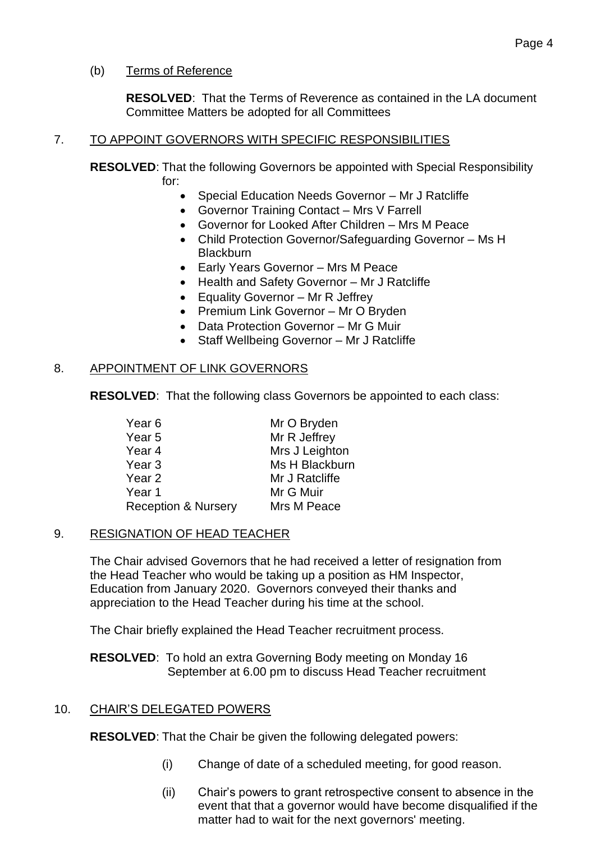# (b) Terms of Reference

**RESOLVED**: That the Terms of Reverence as contained in the LA document Committee Matters be adopted for all Committees

# 7. TO APPOINT GOVERNORS WITH SPECIFIC RESPONSIBILITIES

**RESOLVED**: That the following Governors be appointed with Special Responsibility for:

- Special Education Needs Governor Mr J Ratcliffe
- Governor Training Contact Mrs V Farrell
- Governor for Looked After Children Mrs M Peace
- Child Protection Governor/Safeguarding Governor Ms H **Blackburn**
- Early Years Governor Mrs M Peace
- Health and Safety Governor Mr J Ratcliffe
- Equality Governor Mr R Jeffrey
- Premium Link Governor Mr O Bryden
- Data Protection Governor Mr G Muir
- Staff Wellbeing Governor Mr J Ratcliffe

## 8. APPOINTMENT OF LINK GOVERNORS

**RESOLVED**: That the following class Governors be appointed to each class:

| Year 6                         | Mr O Bryden    |
|--------------------------------|----------------|
| Year 5                         | Mr R Jeffrey   |
| Year 4                         | Mrs J Leighton |
| Year <sub>3</sub>              | Ms H Blackburn |
| Year 2                         | Mr J Ratcliffe |
| Year 1                         | Mr G Muir      |
| <b>Reception &amp; Nursery</b> | Mrs M Peace    |
|                                |                |

# 9. RESIGNATION OF HEAD TEACHER

The Chair advised Governors that he had received a letter of resignation from the Head Teacher who would be taking up a position as HM Inspector, Education from January 2020. Governors conveyed their thanks and appreciation to the Head Teacher during his time at the school.

The Chair briefly explained the Head Teacher recruitment process.

**RESOLVED**: To hold an extra Governing Body meeting on Monday 16 September at 6.00 pm to discuss Head Teacher recruitment

# 10. CHAIR'S DELEGATED POWERS

**RESOLVED**: That the Chair be given the following delegated powers:

- (i) Change of date of a scheduled meeting, for good reason.
- (ii) Chair's powers to grant retrospective consent to absence in the event that that a governor would have become disqualified if the matter had to wait for the next governors' meeting.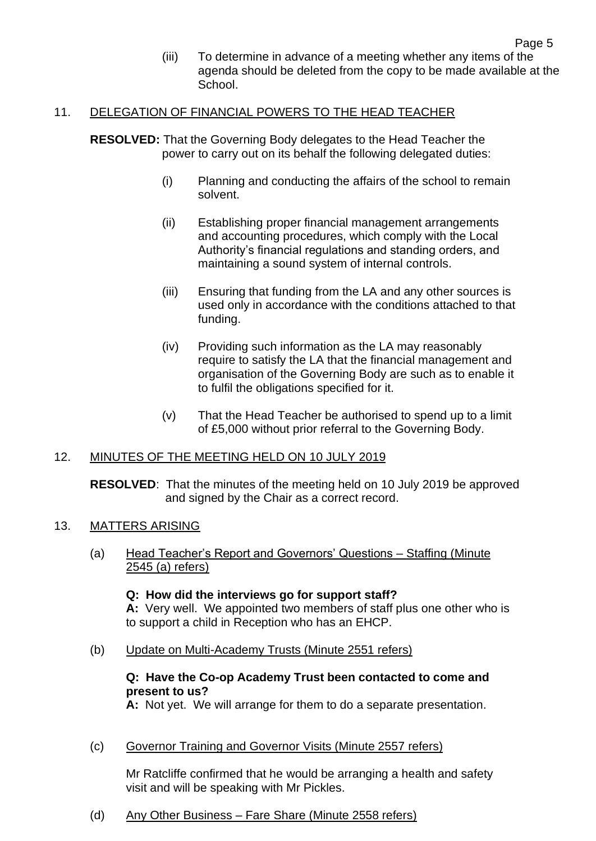(iii) To determine in advance of a meeting whether any items of the agenda should be deleted from the copy to be made available at the **School**.

#### 11. DELEGATION OF FINANCIAL POWERS TO THE HEAD TEACHER

**RESOLVED:** That the Governing Body delegates to the Head Teacher the power to carry out on its behalf the following delegated duties:

- (i) Planning and conducting the affairs of the school to remain solvent.
- (ii) Establishing proper financial management arrangements and accounting procedures, which comply with the Local Authority's financial regulations and standing orders, and maintaining a sound system of internal controls.
- (iii) Ensuring that funding from the LA and any other sources is used only in accordance with the conditions attached to that funding.
- (iv) Providing such information as the LA may reasonably require to satisfy the LA that the financial management and organisation of the Governing Body are such as to enable it to fulfil the obligations specified for it.
- (v) That the Head Teacher be authorised to spend up to a limit of £5,000 without prior referral to the Governing Body.

#### 12. MINUTES OF THE MEETING HELD ON 10 JULY 2019

**RESOLVED**: That the minutes of the meeting held on 10 July 2019 be approved and signed by the Chair as a correct record.

#### 13. MATTERS ARISING

(a) Head Teacher's Report and Governors' Questions – Staffing (Minute 2545 (a) refers)

#### **Q: How did the interviews go for support staff? A:** Very well. We appointed two members of staff plus one other who is to support a child in Reception who has an EHCP.

(b) Update on Multi-Academy Trusts (Minute 2551 refers)

## **Q: Have the Co-op Academy Trust been contacted to come and present to us?**

**A:** Not yet. We will arrange for them to do a separate presentation.

(c) Governor Training and Governor Visits (Minute 2557 refers)

Mr Ratcliffe confirmed that he would be arranging a health and safety visit and will be speaking with Mr Pickles.

(d) Any Other Business – Fare Share (Minute 2558 refers)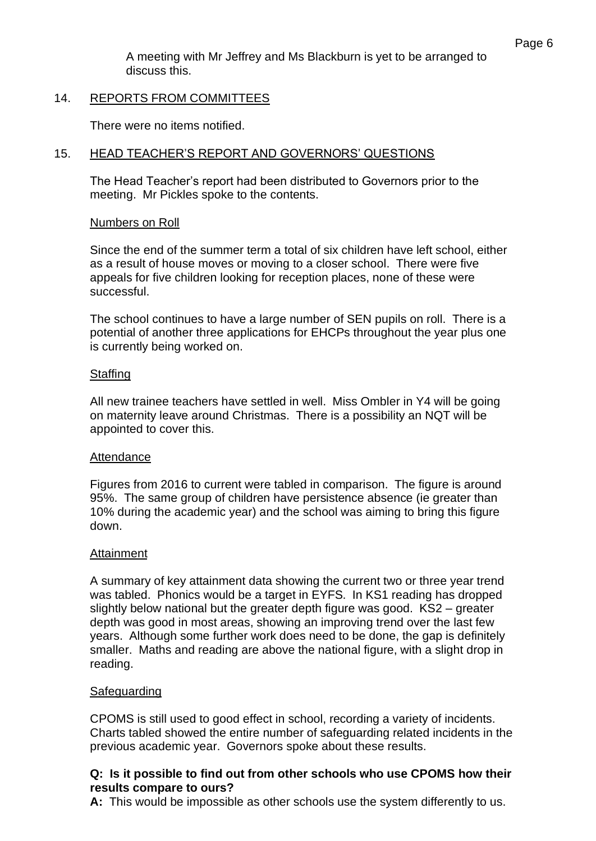A meeting with Mr Jeffrey and Ms Blackburn is yet to be arranged to discuss this.

## 14. REPORTS FROM COMMITTEES

There were no items notified.

## 15. HEAD TEACHER'S REPORT AND GOVERNORS' QUESTIONS

The Head Teacher's report had been distributed to Governors prior to the meeting. Mr Pickles spoke to the contents.

## Numbers on Roll

Since the end of the summer term a total of six children have left school, either as a result of house moves or moving to a closer school. There were five appeals for five children looking for reception places, none of these were successful.

The school continues to have a large number of SEN pupils on roll. There is a potential of another three applications for EHCPs throughout the year plus one is currently being worked on.

## **Staffing**

All new trainee teachers have settled in well. Miss Ombler in Y4 will be going on maternity leave around Christmas. There is a possibility an NQT will be appointed to cover this.

## Attendance

Figures from 2016 to current were tabled in comparison. The figure is around 95%. The same group of children have persistence absence (ie greater than 10% during the academic year) and the school was aiming to bring this figure down.

## **Attainment**

A summary of key attainment data showing the current two or three year trend was tabled. Phonics would be a target in EYFS. In KS1 reading has dropped slightly below national but the greater depth figure was good. KS2 – greater depth was good in most areas, showing an improving trend over the last few years. Although some further work does need to be done, the gap is definitely smaller. Maths and reading are above the national figure, with a slight drop in reading.

## Safeguarding

CPOMS is still used to good effect in school, recording a variety of incidents. Charts tabled showed the entire number of safeguarding related incidents in the previous academic year. Governors spoke about these results.

## **Q: Is it possible to find out from other schools who use CPOMS how their results compare to ours?**

**A:** This would be impossible as other schools use the system differently to us.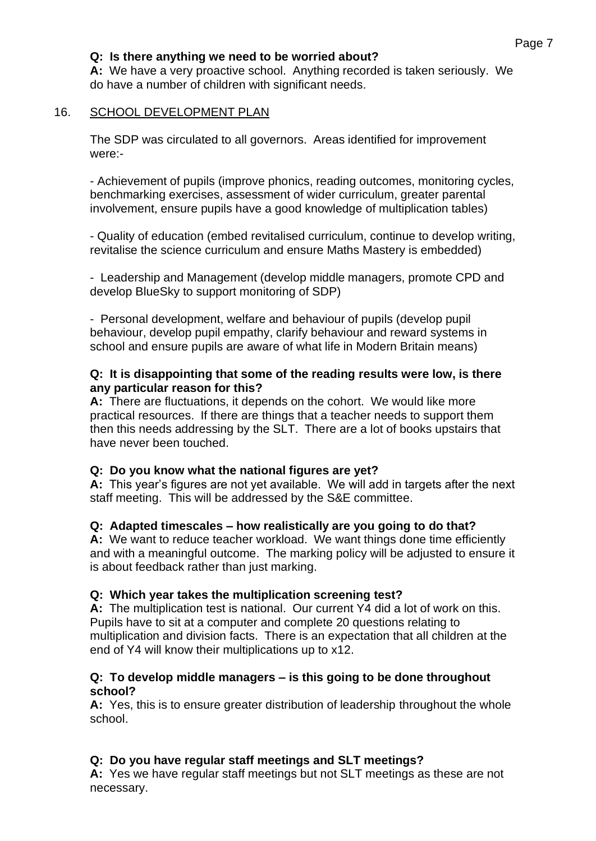## **Q: Is there anything we need to be worried about?**

**A:** We have a very proactive school. Anything recorded is taken seriously. We do have a number of children with significant needs.

## 16. SCHOOL DEVELOPMENT PLAN

The SDP was circulated to all governors. Areas identified for improvement were:-

- Achievement of pupils (improve phonics, reading outcomes, monitoring cycles, benchmarking exercises, assessment of wider curriculum, greater parental involvement, ensure pupils have a good knowledge of multiplication tables)

- Quality of education (embed revitalised curriculum, continue to develop writing, revitalise the science curriculum and ensure Maths Mastery is embedded)

- Leadership and Management (develop middle managers, promote CPD and develop BlueSky to support monitoring of SDP)

- Personal development, welfare and behaviour of pupils (develop pupil behaviour, develop pupil empathy, clarify behaviour and reward systems in school and ensure pupils are aware of what life in Modern Britain means)

#### **Q: It is disappointing that some of the reading results were low, is there any particular reason for this?**

**A:** There are fluctuations, it depends on the cohort. We would like more practical resources. If there are things that a teacher needs to support them then this needs addressing by the SLT. There are a lot of books upstairs that have never been touched.

#### **Q: Do you know what the national figures are yet?**

**A:** This year's figures are not yet available. We will add in targets after the next staff meeting. This will be addressed by the S&E committee.

#### **Q: Adapted timescales – how realistically are you going to do that?**

**A:** We want to reduce teacher workload. We want things done time efficiently and with a meaningful outcome. The marking policy will be adjusted to ensure it is about feedback rather than just marking.

#### **Q: Which year takes the multiplication screening test?**

**A:** The multiplication test is national. Our current Y4 did a lot of work on this. Pupils have to sit at a computer and complete 20 questions relating to multiplication and division facts. There is an expectation that all children at the end of Y4 will know their multiplications up to x12.

#### **Q: To develop middle managers – is this going to be done throughout school?**

**A:** Yes, this is to ensure greater distribution of leadership throughout the whole school.

## **Q: Do you have regular staff meetings and SLT meetings?**

**A:** Yes we have regular staff meetings but not SLT meetings as these are not necessary.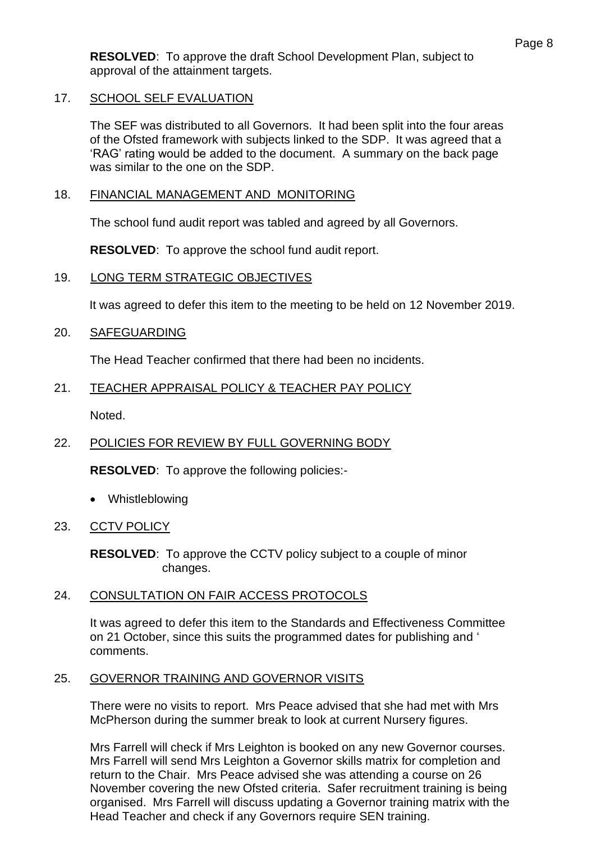**RESOLVED**: To approve the draft School Development Plan, subject to approval of the attainment targets.

## 17. SCHOOL SELF EVALUATION

The SEF was distributed to all Governors. It had been split into the four areas of the Ofsted framework with subjects linked to the SDP. It was agreed that a 'RAG' rating would be added to the document. A summary on the back page was similar to the one on the SDP.

#### 18. FINANCIAL MANAGEMENT AND MONITORING

The school fund audit report was tabled and agreed by all Governors.

**RESOLVED**: To approve the school fund audit report.

#### 19. LONG TERM STRATEGIC OBJECTIVES

It was agreed to defer this item to the meeting to be held on 12 November 2019.

#### 20. SAFEGUARDING

The Head Teacher confirmed that there had been no incidents.

#### 21. TEACHER APPRAISAL POLICY & TEACHER PAY POLICY

Noted.

## 22. POLICIES FOR REVIEW BY FULL GOVERNING BODY

**RESOLVED**: To approve the following policies:-

- Whistleblowing
- 23. CCTV POLICY

**RESOLVED**: To approve the CCTV policy subject to a couple of minor changes.

## 24. CONSULTATION ON FAIR ACCESS PROTOCOLS

It was agreed to defer this item to the Standards and Effectiveness Committee on 21 October, since this suits the programmed dates for publishing and ' comments.

## 25. GOVERNOR TRAINING AND GOVERNOR VISITS

There were no visits to report. Mrs Peace advised that she had met with Mrs McPherson during the summer break to look at current Nursery figures.

Mrs Farrell will check if Mrs Leighton is booked on any new Governor courses. Mrs Farrell will send Mrs Leighton a Governor skills matrix for completion and return to the Chair. Mrs Peace advised she was attending a course on 26 November covering the new Ofsted criteria. Safer recruitment training is being organised. Mrs Farrell will discuss updating a Governor training matrix with the Head Teacher and check if any Governors require SEN training.